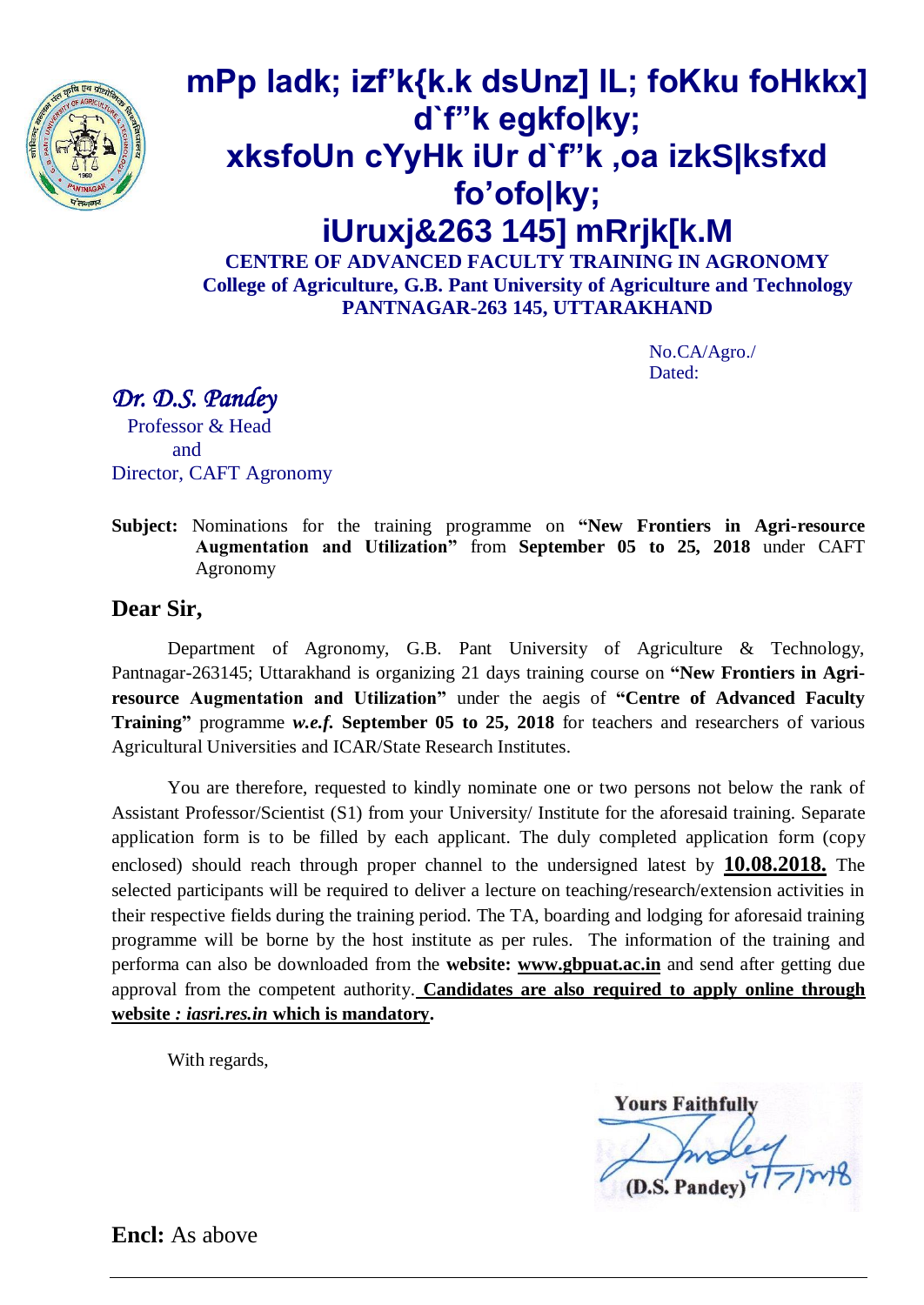

# **mPp ladk; izf'k{k.k dsUnz] lL; foKku foHkkx] d`f"k egkfo|ky; xksfoUn cYyHk iUr d`f"k ,oa izkS|ksfxd fo'ofo|ky; iUruxj&263 145] mRrjk[k.M**

**CENTRE OF ADVANCED FACULTY TRAINING IN AGRONOMY College of Agriculture, G.B. Pant University of Agriculture and Technology PANTNAGAR-263 145, UTTARAKHAND**

> No.CA/Agro./ Dated:

*Dr. D.S. Pandey* 

 Professor & Head and Director, CAFT Agronomy

**Subject:** Nominations for the training programme on **"New Frontiers in Agri-resource Augmentation and Utilization"** from **September 05 to 25, 2018** under CAFT Agronomy

### **Dear Sir,**

Department of Agronomy, G.B. Pant University of Agriculture & Technology, Pantnagar-263145; Uttarakhand is organizing 21 days training course on **"New Frontiers in Agriresource Augmentation and Utilization"** under the aegis of **"Centre of Advanced Faculty Training"** programme *w.e.f.* **September 05 to 25, 2018** for teachers and researchers of various Agricultural Universities and ICAR/State Research Institutes.

You are therefore, requested to kindly nominate one or two persons not below the rank of Assistant Professor/Scientist (S1) from your University/ Institute for the aforesaid training. Separate application form is to be filled by each applicant. The duly completed application form (copy enclosed) should reach through proper channel to the undersigned latest by **10.08.2018.** The selected participants will be required to deliver a lecture on teaching/research/extension activities in their respective fields during the training period. The TA, boarding and lodging for aforesaid training programme will be borne by the host institute as per rules. The information of the training and performa can also be downloaded from the **website: www.gbpuat.ac.in** and send after getting due approval from the competent authority. **Candidates are also required to apply online through website** *: iasri.res.in* **which is mandatory.**

With regards,

**Yours Faithfully** 

**Encl:** As above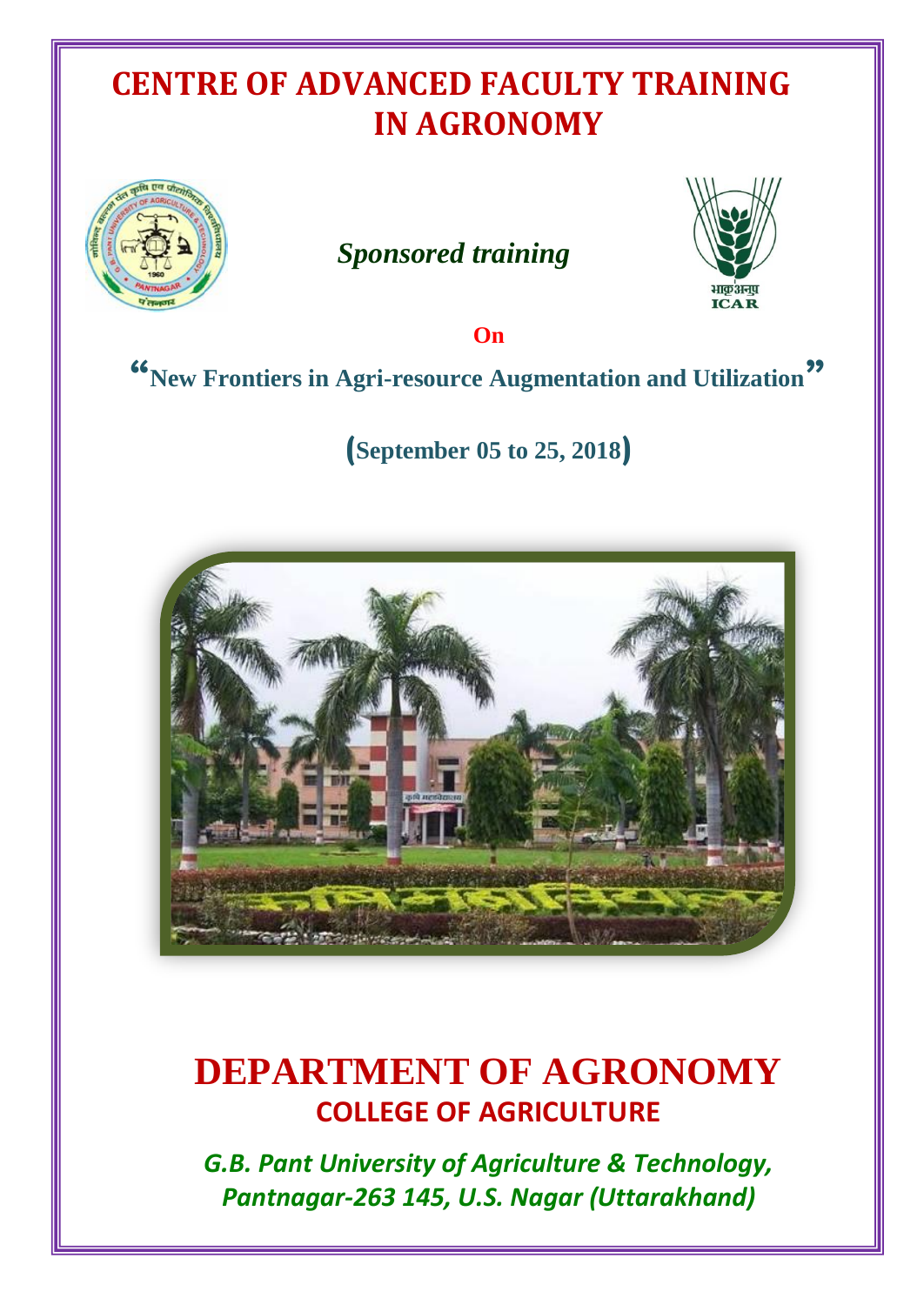## **CENTRE OF ADVANCED FACULTY TRAINING IN AGRONOMY**



## *Sponsored training*



**On**

## **"New Frontiers in Agri-resource Augmentation and Utilization"**

**(September 05 to 25, 2018)**



## **DEPARTMENT OF AGRONOMY COLLEGE OF AGRICULTURE**

*G.B. Pant University of Agriculture & Technology, Pantnagar-263 145, U.S. Nagar (Uttarakhand)*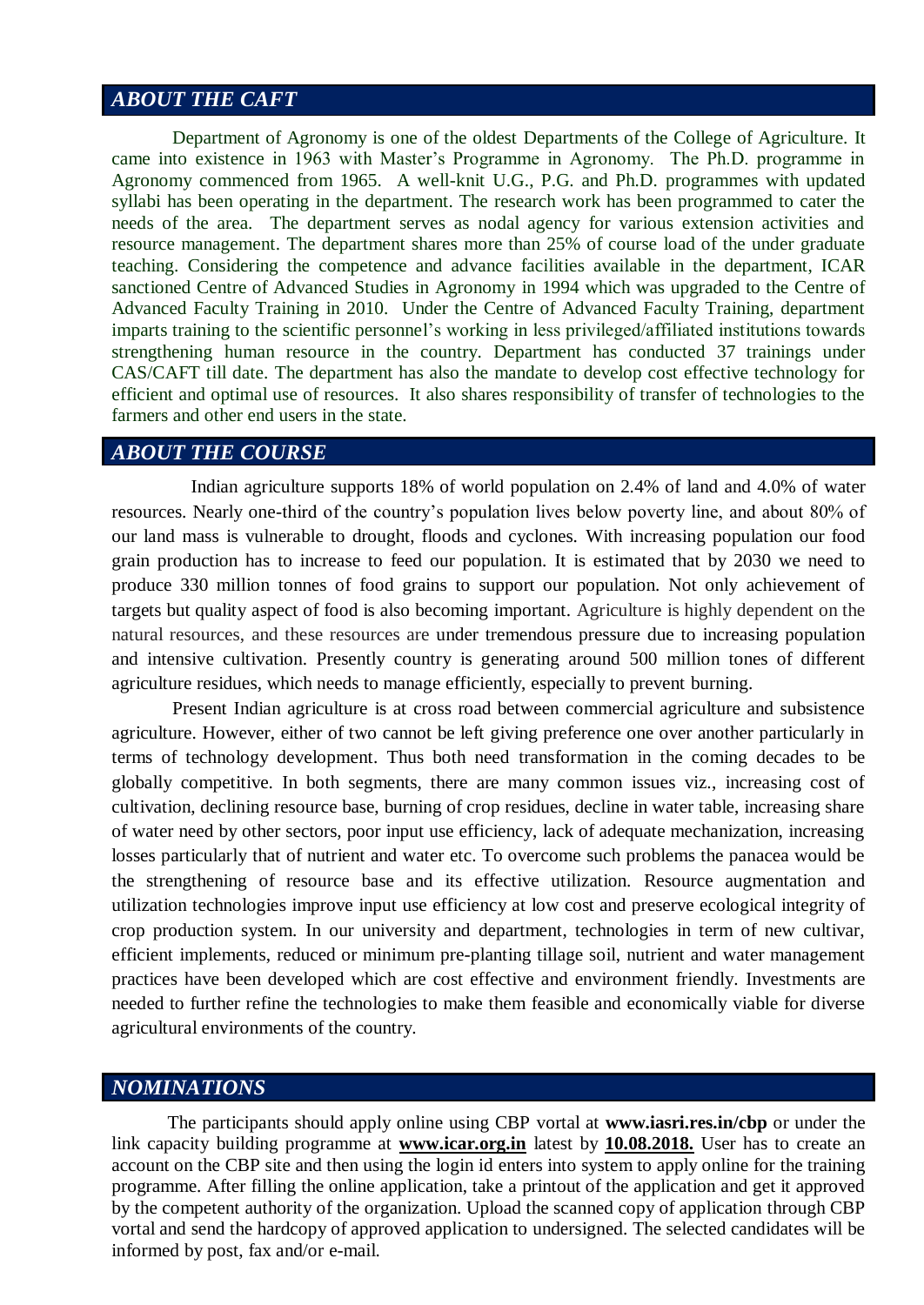## *ABOUT THE CAFT*

Department of Agronomy is one of the oldest Departments of the College of Agriculture. It came into existence in 1963 with Master's Programme in Agronomy. The Ph.D. programme in Agronomy commenced from 1965. A well-knit U.G., P.G. and Ph.D. programmes with updated syllabi has been operating in the department. The research work has been programmed to cater the needs of the area. The department serves as nodal agency for various extension activities and resource management. The department shares more than 25% of course load of the under graduate teaching. Considering the competence and advance facilities available in the department, ICAR sanctioned Centre of Advanced Studies in Agronomy in 1994 which was upgraded to the Centre of Advanced Faculty Training in 2010. Under the Centre of Advanced Faculty Training, department imparts training to the scientific personnel's working in less privileged/affiliated institutions towards strengthening human resource in the country. Department has conducted 37 trainings under CAS/CAFT till date. The department has also the mandate to develop cost effective technology for efficient and optimal use of resources. It also shares responsibility of transfer of technologies to the farmers and other end users in the state.

#### *ABOUT THE COURSE*

 Indian agriculture supports 18% of world population on 2.4% of land and 4.0% of water resources. Nearly one-third of the country's population lives below poverty line, and about 80% of our land mass is vulnerable to drought, floods and cyclones. With increasing population our food grain production has to increase to feed our population. It is estimated that by 2030 we need to produce 330 million tonnes of food grains to support our population. Not only achievement of targets but quality aspect of food is also becoming important. Agriculture is highly dependent on the natural resources, and these resources are under tremendous pressure due to increasing population and intensive cultivation. Presently country is generating around 500 million tones of different agriculture residues, which needs to manage efficiently, especially to prevent burning.

Present Indian agriculture is at cross road between commercial agriculture and subsistence agriculture. However, either of two cannot be left giving preference one over another particularly in terms of technology development. Thus both need transformation in the coming decades to be globally competitive. In both segments, there are many common issues viz., increasing cost of cultivation, declining resource base, burning of crop residues, decline in water table, increasing share of water need by other sectors, poor input use efficiency, lack of adequate mechanization, increasing losses particularly that of nutrient and water etc. To overcome such problems the panacea would be the strengthening of resource base and its effective utilization. Resource augmentation and utilization technologies improve input use efficiency at low cost and preserve ecological integrity of crop production system. In our university and department, technologies in term of new cultivar, efficient implements, reduced or minimum pre-planting tillage soil, nutrient and water management practices have been developed which are cost effective and environment friendly. Investments are needed to further refine the technologies to make them feasible and economically viable for diverse agricultural environments of the country.

#### *NOMINATIONS*

The participants should apply online using CBP vortal at **www.iasri.res.in/cbp** or under the link capacity building programme at **www.icar.org.in** latest by **10.08.2018.** User has to create an account on the CBP site and then using the login id enters into system to apply online for the training programme. After filling the online application, take a printout of the application and get it approved by the competent authority of the organization. Upload the scanned copy of application through CBP vortal and send the hardcopy of approved application to undersigned. The selected candidates will be informed by post, fax and/or e-mail.